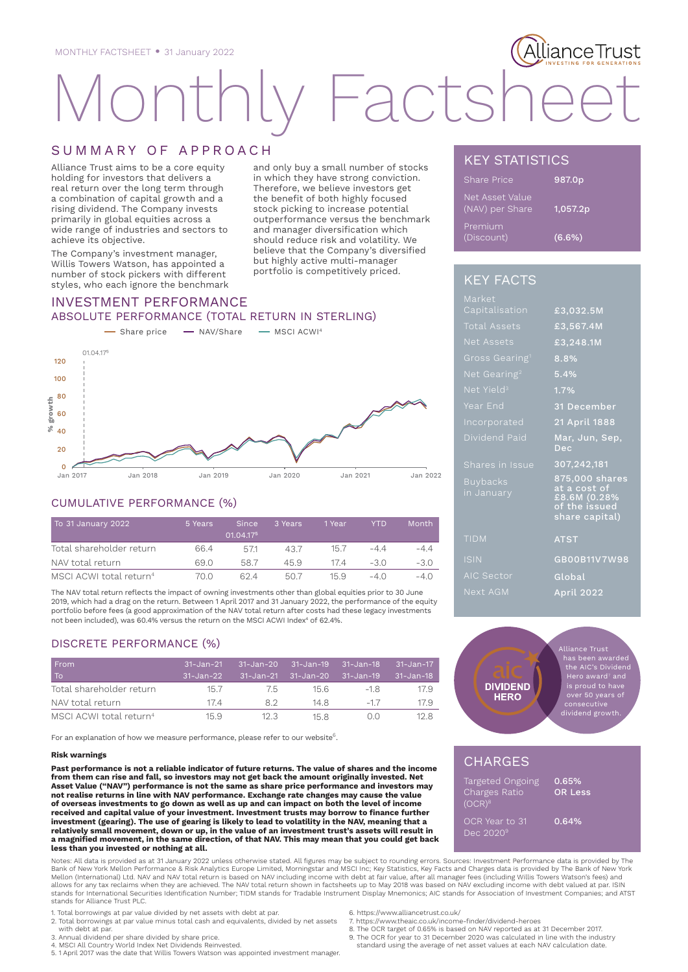# acts

# SUMMARY OF APPROACH

Alliance Trust aims to be a core equity holding for investors that delivers a real return over the long term through a combination of capital growth and a rising dividend. The Company invests primarily in global equities across a wide range of industries and sectors to achieve its objective.

The Company's investment manager, Willis Towers Watson, has appointed a number of stock pickers with different styles, who each ignore the benchmark

and only buy a small number of stocks in which they have strong conviction. Therefore, we believe investors get the benefit of both highly focused stock picking to increase potential outperformance versus the benchmark and manager diversification which should reduce risk and volatility. We believe that the Company's diversified but highly active multi-manager portfolio is competitively priced.

# INVESTMENT PERFORMANCE ABSOLUTE PERFORMANCE (TOTAL RETURN IN STERLING)



### CUMULATIVE PERFORMANCE (%)

| To 31 January 2022                  | 5 Years | <b>Since</b><br>01.04.175 | 3 Years | 1 Year | <b>YTD</b> | <b>Month</b> |
|-------------------------------------|---------|---------------------------|---------|--------|------------|--------------|
| Total shareholder return            | 664     | 5/1                       | 43.7    | 15.7   | -44        | $-4.4$       |
| NAV total return                    | 69 O    | 587                       | 45.9    | 174    | $-30$      | -3.0         |
| MSCI ACWI total return <sup>4</sup> | 70.0    | 624                       | 50.7    | 15.9   | $-4()$     | $-4()$       |

The NAV total return reflects the impact of owning investments other than global equities prior to 30 June 2019, which had a drag on the return. Between 1 April 2017 and 31 January 2022, the performance of the equity portfolio before fees (a good approximation of the NAV total return after costs had these legacy investments not been included), was 60.4% versus the return on the MSCI ACWI Index $^4$  of 62.4%.

# DISCRETE PERFORMANCE (%)

| From<br>To                          | $31 - Jan - 21$<br>ا 31-Jan-22 | 31-Jan-20 31-Jan-19 31-Jan-18 | 31-Jan-21 31-Jan-20 31-Jan-19 |         | 31-Jan-17<br>$31 - Jan - 18$ |
|-------------------------------------|--------------------------------|-------------------------------|-------------------------------|---------|------------------------------|
| Total shareholder return            | 157                            | $\sqrt{5}$                    | 156                           | $-18$   | 17.9                         |
| NAV total return                    | 174                            | 82                            | 14 8                          | $-17$   | 17.9                         |
| MSCI ACWI total return <sup>4</sup> | 15.9                           | 12.3                          | 15.8                          | ( ) ( ) | 12 S                         |

For an explanation of how we measure performance, please refer to our website<sup>6</sup>.

#### **Risk warnings**

**Past performance is not a reliable indicator of future returns. The value of shares and the income from them can rise and fall, so investors may not get back the amount originally invested. Net Asset Value ("NAV") performance is not the same as share price performance and investors may not realise returns in line with NAV performance. Exchange rate changes may cause the value of overseas investments to go down as well as up and can impact on both the level of income received and capital value of your investment. Investment trusts may borrow to finance further investment (gearing). The use of gearing is likely to lead to volatility in the NAV, meaning that a relatively small movement, down or up, in the value of an investment trust's assets will result in a magnified movement, in the same direction, of that NAV. This may mean that you could get back less than you invested or nothing at all.**

Notes: All data is provided as at 31 January 2022 unless otherwise stated. All figures may be subject to rounding errors. Sources: Investment Performance data is provided by The<br>Bank of New York Mellon Performance & Risk A Mellon (International) Ltd. NAV and NAV total return is based on NAV including income with debt at fair value, after all manager fees (including Willis Towers Watson's fees) and<br>allows for any tax reclaims when they are ac stands for International Securities Identification Number; TIDM stands for Tradable Instrument Display Mnemonics; AIC stands for Association of Investment Companies; and ATST stands for Alliance Trust PLC.

1. Total borrowings at par value divided by net assets with debt at par. 2. Total borrowings at par value minus total cash and equivalents, divided by net assets

- with debt at par.
- 3. Annual dividend per share divided by share price.

4. MSCI All Country World Index Net Dividends Reinvested. 5. 1 April 2017 was the date that Willis Towers Watson was appointed investment manager.

KEY STATISTICS

| Share Price                        | 987.0p    |
|------------------------------------|-----------|
| Net Asset Value<br>(NAV) per Share | 1,057.2p  |
| Premium<br>(Discount)              | $(6.6\%)$ |

llianceTrust

# KEY FACTS

| Market                        |                                                                                   |
|-------------------------------|-----------------------------------------------------------------------------------|
| Capitalisation                | £3,032.5M                                                                         |
| <b>Total Assets</b>           | £3,567.4M                                                                         |
| Net Assets                    | £3,248.1M                                                                         |
| Gross Gearing <sup>1</sup>    | 8.8%                                                                              |
| Net Gearing <sup>2</sup>      | 5.4%                                                                              |
| Net Yield <sup>3</sup>        | 1.7%                                                                              |
| Year End                      | 31 December                                                                       |
| Incorporated                  | 21 April 1888                                                                     |
| Dividend Paid                 | Mar, Jun, Sep,<br>Dec                                                             |
| Shares in Issue               | 307,242,181                                                                       |
| <b>Buybacks</b><br>in January | 875,000 shares<br>at a cost of<br>£8.6M (0.28%<br>of the issued<br>share capital) |
| <b>TIDM</b>                   | <b>ATST</b>                                                                       |
| <b>ISIN</b>                   | GB00B11V7W98                                                                      |
| <b>AIC Sector</b>             | Global                                                                            |
| Next AGM                      | <b>April 2022</b>                                                                 |



# **CHARGES**

| Targeted Ongoing   | 0.65%          |
|--------------------|----------------|
| Charges Ratio      | <b>OR Less</b> |
| (OCR) <sup>8</sup> |                |
|                    |                |
| OCR Year to 31     | 0.64%          |
| Dec 2020 $9$       |                |
|                    |                |

6. https://www.alliancetrust.co.uk/

- 7. https://www.theaic.co.uk/income-finder/dividend-heroes 8. The OCR target of 0.65% is based on NAV reported as at 31 December 2017.
- 9. The OCR for year to 31 December 2020 was calculated in line with the industry
- standard using the average of net asset values at each NAV calculation date.